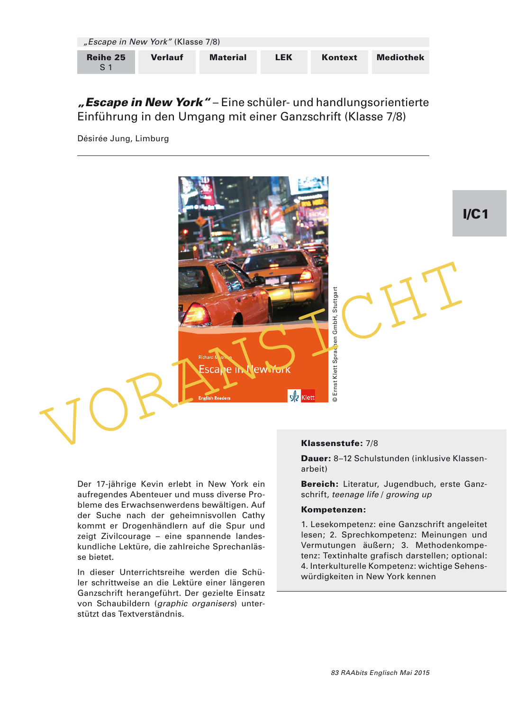|                            | "Escape in New York" (Klasse 7/8) |                 |     |         |                  |
|----------------------------|-----------------------------------|-----------------|-----|---------|------------------|
| Reihe 25<br>S <sub>1</sub> | <b>Verlauf</b>                    | <b>Material</b> | LEK | Kontext | <b>Mediothek</b> |

"Escape in New York" – Eine schüler- und handlungsorientierte Einführung in den Umgang mit einer Ganzschrift (Klasse 7/8)

Désirée Jung, Limburg



Der 17-jährige Kevin erlebt in New York ein aufregendes Abenteuer und muss diverse Probleme des Erwachsenwerdens bewältigen. Auf der Suche nach der geheimnisvollen Cathy kommt er Drogenhändlern auf die Spur und zeigt Zivilcourage – eine spannende landeskundliche Lektüre, die zahlreiche Sprechanlässe bietet.

In dieser Unterrichtsreihe werden die Schüler schrittweise an die Lektüre einer längeren Ganzschrift herangeführt. Der gezielte Einsatz von Schaubildern (graphic organisers) unterstützt das Textverständnis.

#### Klassenstufe: 7/8

Dauer: 8–12 Schulstunden (inklusive Klassenarbeit)

Bereich: Literatur, Jugendbuch, erste Ganzschrift, teenage life / growing up

#### Kompetenzen:

1. Lesekompetenz: eine Ganzschrift angeleitet lesen; 2. Sprechkompetenz: Meinungen und Vermutungen äußern; 3. Methodenkompetenz: Textinhalte grafisch darstellen; optional: 4. Interkulturelle Kompetenz: wichtige Sehens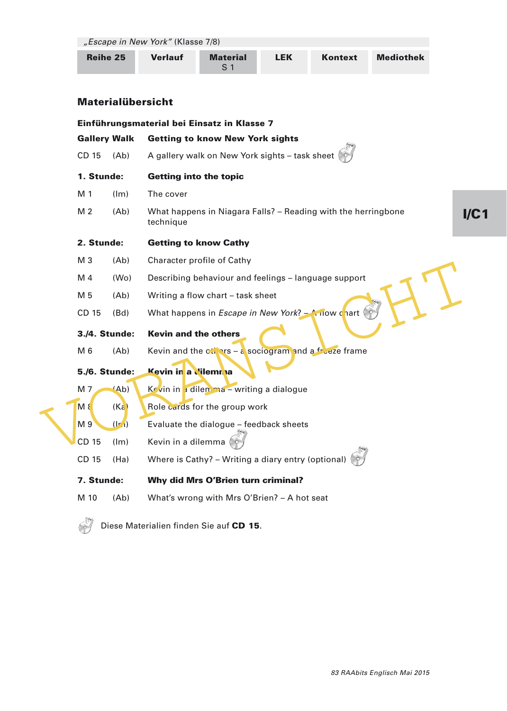"Escape in New York" (Klasse 7/8)

| <b>Reihe 25</b> | <b>Verlauf</b> | <b>Material</b> | LEK | Kontext | <b>Mediothek</b> |
|-----------------|----------------|-----------------|-----|---------|------------------|
|-----------------|----------------|-----------------|-----|---------|------------------|

# Materialübersicht

|                      |                   | Einführungsmaterial bei Einsatz in Klasse 7                                               |     |
|----------------------|-------------------|-------------------------------------------------------------------------------------------|-----|
| <b>Gallery Walk</b>  |                   | <b>Getting to know New York sights</b>                                                    |     |
| CD 15                | (Ab)              | A gallery walk on New York sights - task sheet                                            |     |
| 1. Stunde:           |                   | <b>Getting into the topic</b>                                                             |     |
| M 1                  | (lm)              | The cover                                                                                 |     |
| M <sub>2</sub>       | (Ab)              | What happens in Niagara Falls? - Reading with the herringbone<br>technique                | I/C |
| 2. Stunde:           |                   | <b>Getting to know Cathy</b>                                                              |     |
| M <sub>3</sub>       | (Ab)              | Character profile of Cathy                                                                |     |
| M <sub>4</sub>       | (W <sub>O</sub> ) | Describing behaviour and feelings - language support                                      |     |
| M 5                  | (Ab)              | Writing a flow chart - task sheet                                                         |     |
| CD 15                | (Bd)              | What happens in <i>Escape in New York</i> ? $-$ A now chart                               |     |
| 3./4. Stunde:<br>M 6 | (Ab)              | <b>Kevin and the others</b><br>Kevin and the $c_{1}$ ars – a sociogram and a freeze frame |     |
| <b>5./6. Stunde:</b> |                   | Kevin in a Vilemnia                                                                       |     |
| M 7                  | (Ab)              | Kevin in a dilemma – writing a dialogue                                                   |     |
| $M$ $8$              | (Ka)              | Role cards for the group work                                                             |     |
| M 9                  | $(\mathbf{I}r_1)$ | Evaluate the dialogue - feedback sheets                                                   |     |
| CD 15                | (lm)              | Kevin in a dilemma                                                                        |     |
| CD 15                | (Ha)              | Where is Cathy? - Writing a diary entry (optional)                                        |     |
| 7. Stunde:           |                   | <b>Why did Mrs O'Brien turn criminal?</b>                                                 |     |
| M 10                 | (Ab)              | What's wrong with Mrs O'Brien? - A hot seat                                               |     |
|                      |                   |                                                                                           |     |



Diese Materialien finden Sie auf CD 15.

 $\mathbf 1$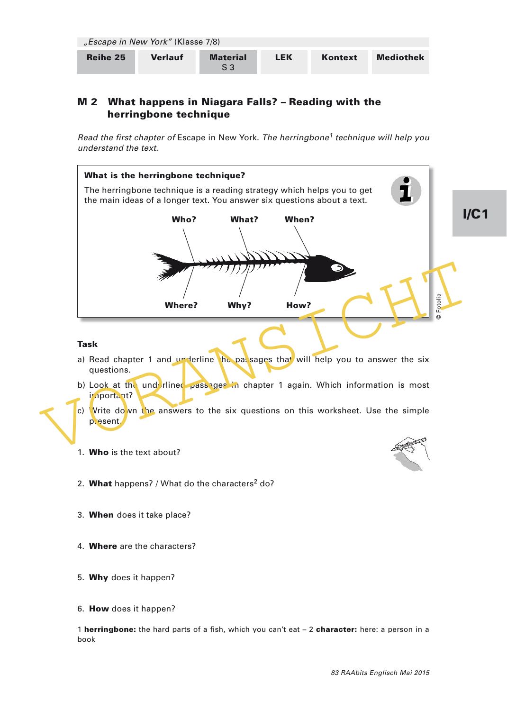| "Escape in New York" (Klasse 7/8) |                |                 |     |         |                  |  |
|-----------------------------------|----------------|-----------------|-----|---------|------------------|--|
| Reihe 25                          | <b>Verlauf</b> | <b>Material</b> | LEK | Kontext | <b>Mediothek</b> |  |

## M 2 What happens in Niagara Falls? – Reading with the herringbone technique

Read the first chapter of Escape in New York. The herringbone<sup>1</sup> technique will help you understand the text.



6. How does it happen?

1 herringbone: the hard parts of a fish, which you can't eat - 2 character: here: a person in a book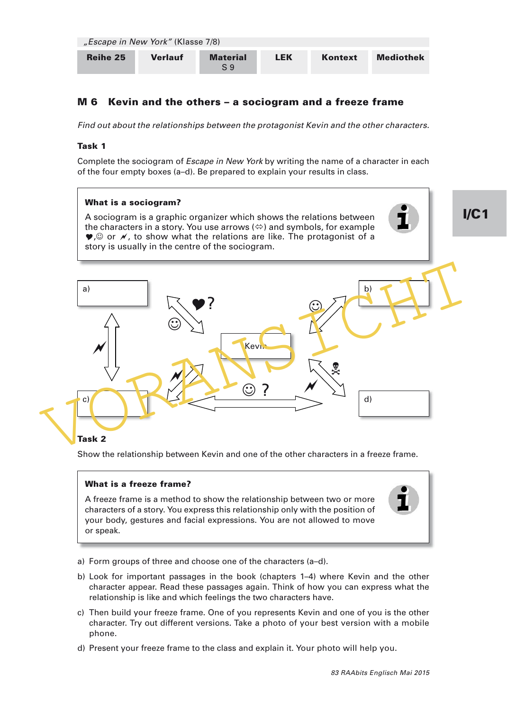| "Escape in New York" (Klasse 7/8) |                |                 |     |         |                  |  |  |
|-----------------------------------|----------------|-----------------|-----|---------|------------------|--|--|
| Reihe 25                          | <b>Verlauf</b> | <b>Material</b> | LEK | Kontext | <b>Mediothek</b> |  |  |

# M 6 Kevin and the others – a sociogram and a freeze frame

Find out about the relationships between the protagonist Kevin and the other characters.

## Task 1

Complete the sociogram of *Escape in New York* by writing the name of a character in each of the four empty boxes (a–d). Be prepared to explain your results in class.

## What is a sociogram?

A sociogram is a graphic organizer which shows the relations between the characters in a story. You use arrows  $(\Leftrightarrow)$  and symbols, for example  $\bullet$ ,  $\circ$  or  $\prime$ , to show what the relations are like. The protagonist of a story is usually in the centre of the sociogram.



## Task 2

Show the relationship between Kevin and one of the other characters in a freeze frame.

### What is a freeze frame?

A freeze frame is a method to show the relationship between two or more characters of a story. You express this relationship only with the position of your body, gestures and facial expressions. You are not allowed to move or speak.



I/C1

- a) Form groups of three and choose one of the characters (a–d).
- b) Look for important passages in the book (chapters 1–4) where Kevin and the other character appear. Read these passages again. Think of how you can express what the relationship is like and which feelings the two characters have.
- c) Then build your freeze frame. One of you represents Kevin and one of you is the other character. Try out different versions. Take a photo of your best version with a mobile phone.
- d) Present your freeze frame to the class and explain it. Your photo will help you.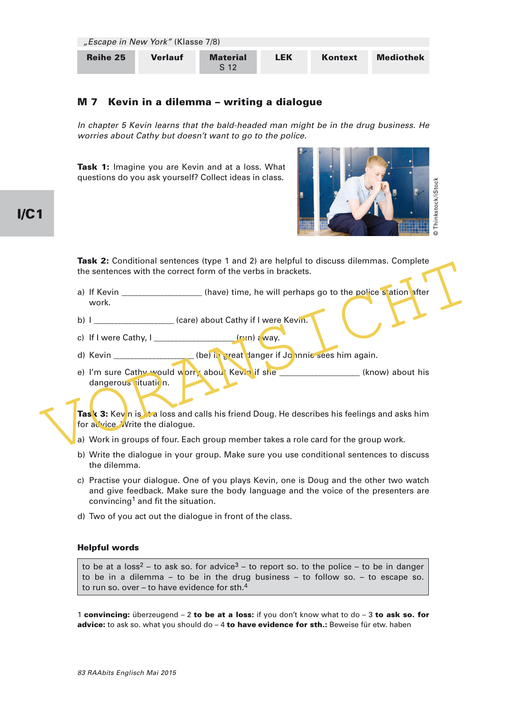| "Escape in New York" (Klasse 7/8) |                |                                    |     |         |                  |  |  |
|-----------------------------------|----------------|------------------------------------|-----|---------|------------------|--|--|
| Reihe 25                          | <b>Verlauf</b> | <b>Material</b><br>S <sub>12</sub> | LEK | Kontext | <b>Mediothek</b> |  |  |

## M 7 Kevin in a dilemma – writing a dialogue

In chapter 5 Kevin learns that the bald-headed man might be in the drug business. He worries about Cathy but doesn't want to go to the police.

Task 1: Imagine you are Kevin and at a loss. What questions do you ask yourself? Collect ideas in class.



**Task 2:** Conditional sentences (type 1 and 2) are helpful to discuss dilemmas. Complete the sentences with the correct form of the verbs in brackets.

- a) If Kevin \_\_\_\_\_\_\_\_\_\_\_\_\_\_\_\_\_\_\_(have) time, he will perhaps go to the police station after work.
- b) I \_\_\_\_\_\_\_\_\_\_\_\_\_\_\_\_\_\_\_ (care) about Cathy if I were Kevin.
- c) If I were Cathy,  $I_1$  (run)  $\epsilon$  way.
- d) Kevin \_\_\_\_\_\_\_\_\_\_\_\_\_\_\_\_\_\_(be) in great danger if Johnnie sees him again.
- The Section Section Section Section Section Section Section Section Section Section Section Section Section Section Section Section Section Section Section Section Section Section Section Section Section Section Section Se e) I'm sure Cathy would worry about Kevin if she \_\_\_\_\_\_\_\_\_\_\_\_\_\_\_\_\_\_\_(know) about his dangerous situation.

Task 3: Kev n is the loss and calls his friend Doug. He describes his feelings and asks him for advice. Write the dialogue.

- a) Work in groups of four. Each group member takes a role card for the group work.
- b) Write the dialogue in your group. Make sure you use conditional sentences to discuss the dilemma.
- c) Practise your dialogue. One of you plays Kevin, one is Doug and the other two watch and give feedback. Make sure the body language and the voice of the presenters are convincing<sup>1</sup> and fit the situation.
- d) Two of you act out the dialogue in front of the class.

#### Helpful words

to be at a loss<sup>2</sup> – to ask so. for advice<sup>3</sup> – to report so. to the police – to be in danger to be in a dilemma – to be in the drug business – to follow so. – to escape so. to run so. over  $-$  to have evidence for sth. $4$ 

1 convincing: überzeugend  $-2$  to be at a loss: if you don't know what to do  $-3$  to ask so. for advice: to ask so. what you should  $do - 4$  to have evidence for sth.: Beweise für etw. haben

# I/C1

83 RAAbits Englisch Mai 2015